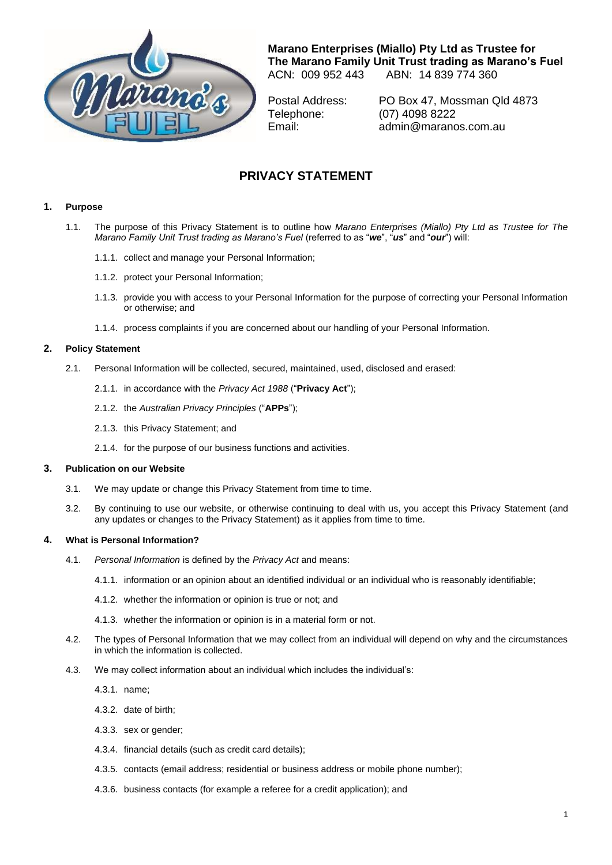

**Marano Enterprises (Miallo) Pty Ltd as Trustee for The Marano Family Unit Trust trading as Marano's Fuel** ABN: 14 839 774 360

Postal Address: PO Box 47, Mossman Qld 4873 Telephone: (07) 4098 8222 Email: admin@maranos.com.au

# **PRIVACY STATEMENT**

# **1. Purpose**

- 1.1. The purpose of this Privacy Statement is to outline how *Marano Enterprises (Miallo) Pty Ltd as Trustee for The Marano Family Unit Trust trading as Marano's Fuel* (referred to as "*we*", "*us*" and "*our*") will:
	- 1.1.1. collect and manage your Personal Information;
	- 1.1.2. protect your Personal Information;
	- 1.1.3. provide you with access to your Personal Information for the purpose of correcting your Personal Information or otherwise; and
	- 1.1.4. process complaints if you are concerned about our handling of your Personal Information.

# **2. Policy Statement**

- 2.1. Personal Information will be collected, secured, maintained, used, disclosed and erased:
	- 2.1.1. in accordance with the *Privacy Act 1988* ("**Privacy Act**");
	- 2.1.2. the *Australian Privacy Principles* ("**APPs**");
	- 2.1.3. this Privacy Statement; and
	- 2.1.4. for the purpose of our business functions and activities.

# **3. Publication on our Website**

- 3.1. We may update or change this Privacy Statement from time to time.
- 3.2. By continuing to use our website, or otherwise continuing to deal with us, you accept this Privacy Statement (and any updates or changes to the Privacy Statement) as it applies from time to time.

# **4. What is Personal Information?**

- 4.1. *Personal Information* is defined by the *Privacy Act* and means:
	- 4.1.1. information or an opinion about an identified individual or an individual who is reasonably identifiable;
	- 4.1.2. whether the information or opinion is true or not; and
	- 4.1.3. whether the information or opinion is in a material form or not.
- 4.2. The types of Personal Information that we may collect from an individual will depend on why and the circumstances in which the information is collected.
- 4.3. We may collect information about an individual which includes the individual's:
	- 4.3.1. name;
	- 4.3.2. date of birth;
	- 4.3.3. sex or gender;
	- 4.3.4. financial details (such as credit card details);
	- 4.3.5. contacts (email address; residential or business address or mobile phone number);
	- 4.3.6. business contacts (for example a referee for a credit application); and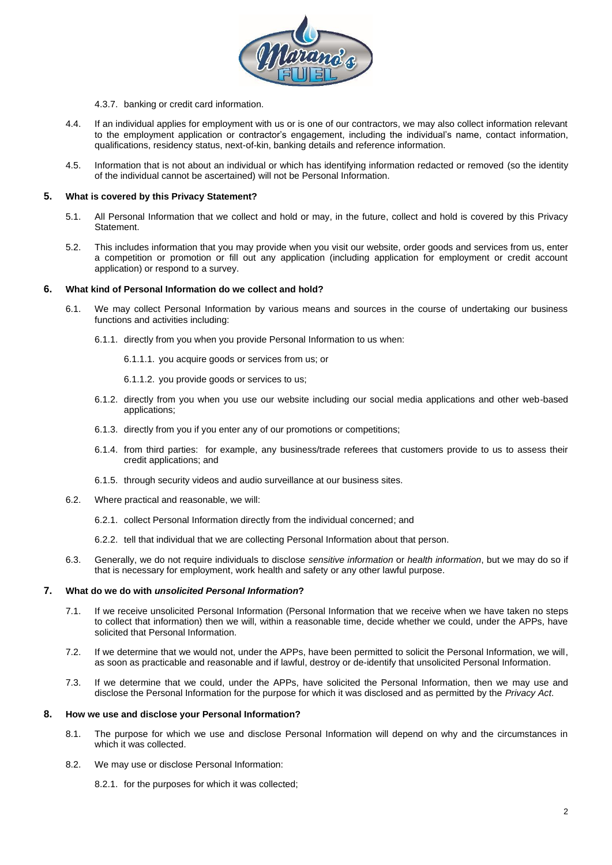

- 4.3.7. banking or credit card information.
- 4.4. If an individual applies for employment with us or is one of our contractors, we may also collect information relevant to the employment application or contractor's engagement, including the individual's name, contact information, qualifications, residency status, next-of-kin, banking details and reference information.
- 4.5. Information that is not about an individual or which has identifying information redacted or removed (so the identity of the individual cannot be ascertained) will not be Personal Information.

## **5. What is covered by this Privacy Statement?**

- 5.1. All Personal Information that we collect and hold or may, in the future, collect and hold is covered by this Privacy Statement.
- 5.2. This includes information that you may provide when you visit our website, order goods and services from us, enter a competition or promotion or fill out any application (including application for employment or credit account application) or respond to a survey.

# **6. What kind of Personal Information do we collect and hold?**

- 6.1. We may collect Personal Information by various means and sources in the course of undertaking our business functions and activities including:
	- 6.1.1. directly from you when you provide Personal Information to us when:
		- 6.1.1.1. you acquire goods or services from us; or
		- 6.1.1.2. you provide goods or services to us;
	- 6.1.2. directly from you when you use our website including our social media applications and other web-based applications;
	- 6.1.3. directly from you if you enter any of our promotions or competitions;
	- 6.1.4. from third parties: for example, any business/trade referees that customers provide to us to assess their credit applications; and
	- 6.1.5. through security videos and audio surveillance at our business sites.
- 6.2. Where practical and reasonable, we will:
	- 6.2.1. collect Personal Information directly from the individual concerned; and
	- 6.2.2. tell that individual that we are collecting Personal Information about that person.
- 6.3. Generally, we do not require individuals to disclose *sensitive information* or *health information*, but we may do so if that is necessary for employment, work health and safety or any other lawful purpose.

# **7. What do we do with** *unsolicited Personal Information***?**

- 7.1. If we receive unsolicited Personal Information (Personal Information that we receive when we have taken no steps to collect that information) then we will, within a reasonable time, decide whether we could, under the APPs, have solicited that Personal Information.
- 7.2. If we determine that we would not, under the APPs, have been permitted to solicit the Personal Information, we will, as soon as practicable and reasonable and if lawful, destroy or de-identify that unsolicited Personal Information.
- 7.3. If we determine that we could, under the APPs, have solicited the Personal Information, then we may use and disclose the Personal Information for the purpose for which it was disclosed and as permitted by the *Privacy Act*.

## **8. How we use and disclose your Personal Information?**

- 8.1. The purpose for which we use and disclose Personal Information will depend on why and the circumstances in which it was collected.
- 8.2. We may use or disclose Personal Information:

8.2.1. for the purposes for which it was collected;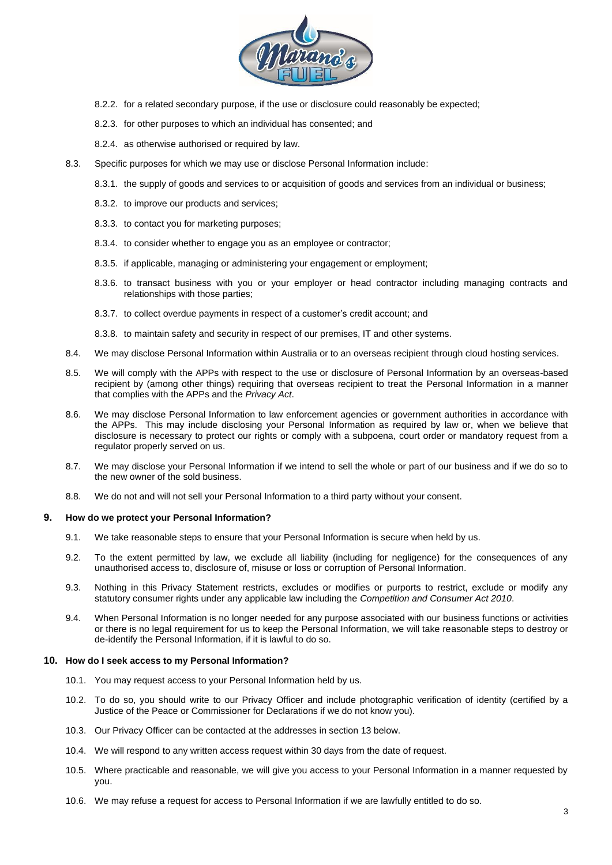

- 8.2.2. for a related secondary purpose, if the use or disclosure could reasonably be expected;
- 8.2.3. for other purposes to which an individual has consented; and
- 8.2.4. as otherwise authorised or required by law.
- 8.3. Specific purposes for which we may use or disclose Personal Information include:
	- 8.3.1. the supply of goods and services to or acquisition of goods and services from an individual or business;
	- 8.3.2. to improve our products and services;
	- 8.3.3. to contact you for marketing purposes;
	- 8.3.4. to consider whether to engage you as an employee or contractor;
	- 8.3.5. if applicable, managing or administering your engagement or employment;
	- 8.3.6. to transact business with you or your employer or head contractor including managing contracts and relationships with those parties;
	- 8.3.7. to collect overdue payments in respect of a customer's credit account; and

8.3.8. to maintain safety and security in respect of our premises, IT and other systems.

- 8.4. We may disclose Personal Information within Australia or to an overseas recipient through cloud hosting services.
- 8.5. We will comply with the APPs with respect to the use or disclosure of Personal Information by an overseas-based recipient by (among other things) requiring that overseas recipient to treat the Personal Information in a manner that complies with the APPs and the *Privacy Act*.
- 8.6. We may disclose Personal Information to law enforcement agencies or government authorities in accordance with the APPs. This may include disclosing your Personal Information as required by law or, when we believe that disclosure is necessary to protect our rights or comply with a subpoena, court order or mandatory request from a regulator properly served on us.
- 8.7. We may disclose your Personal Information if we intend to sell the whole or part of our business and if we do so to the new owner of the sold business.
- 8.8. We do not and will not sell your Personal Information to a third party without your consent.

#### **9. How do we protect your Personal Information?**

- 9.1. We take reasonable steps to ensure that your Personal Information is secure when held by us.
- 9.2. To the extent permitted by law, we exclude all liability (including for negligence) for the consequences of any unauthorised access to, disclosure of, misuse or loss or corruption of Personal Information.
- 9.3. Nothing in this Privacy Statement restricts, excludes or modifies or purports to restrict, exclude or modify any statutory consumer rights under any applicable law including the *Competition and Consumer Act 2010*.
- 9.4. When Personal Information is no longer needed for any purpose associated with our business functions or activities or there is no legal requirement for us to keep the Personal Information, we will take reasonable steps to destroy or de-identify the Personal Information, if it is lawful to do so.

#### **10. How do I seek access to my Personal Information?**

- 10.1. You may request access to your Personal Information held by us.
- 10.2. To do so, you should write to our Privacy Officer and include photographic verification of identity (certified by a Justice of the Peace or Commissioner for Declarations if we do not know you).
- 10.3. Our Privacy Officer can be contacted at the addresses in section 13 below.
- 10.4. We will respond to any written access request within 30 days from the date of request.
- 10.5. Where practicable and reasonable, we will give you access to your Personal Information in a manner requested by you.
- 10.6. We may refuse a request for access to Personal Information if we are lawfully entitled to do so.